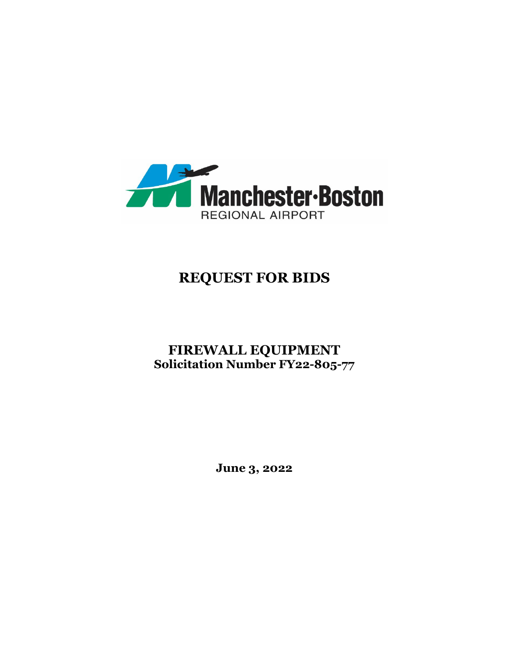

# **REQUEST FOR BIDS**

## **FIREWALL EQUIPMENT Solicitation Number FY22-805-77**

**June 3, 2022**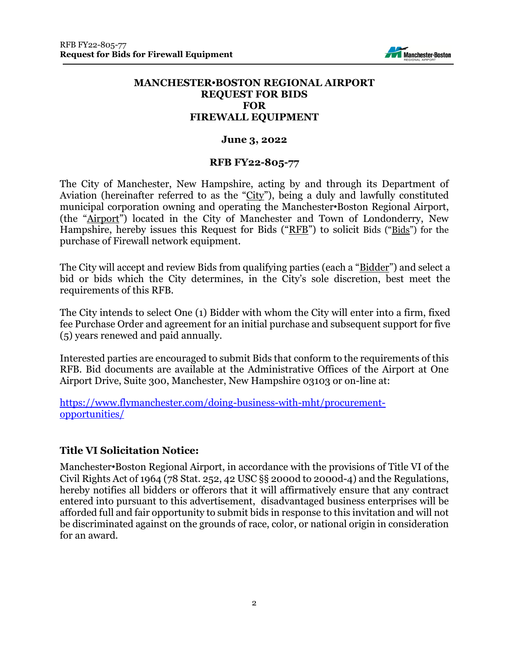

#### **MANCHESTER**•**BOSTON REGIONAL AIRPORT REQUEST FOR BIDS FOR FIREWALL EQUIPMENT**

#### **June 3, 2022**

#### **RFB FY22-805-77**

The City of Manchester, New Hampshire, acting by and through its Department of Aviation (hereinafter referred to as the "City"), being a duly and lawfully constituted municipal corporation owning and operating the Manchester•Boston Regional Airport, (the "Airport") located in the City of Manchester and Town of Londonderry, New Hampshire, hereby issues this Request for Bids ("RFB") to solicit Bids ("Bids") for the purchase of Firewall network equipment.

The City will accept and review Bids from qualifying parties (each a "Bidder") and select a bid or bids which the City determines, in the City's sole discretion, best meet the requirements of this RFB.

The City intends to select One (1) Bidder with whom the City will enter into a firm, fixed fee Purchase Order and agreement for an initial purchase and subsequent support for five (5) years renewed and paid annually.

Interested parties are encouraged to submit Bids that conform to the requirements of this RFB. Bid documents are available at the Administrative Offices of the Airport at One Airport Drive, Suite 300, Manchester, New Hampshire 03103 or on-line at:

[https://www.flymanchester.com/doing-business-with-mht/procurement](https://www.flymanchester.com/doing-business-with-mht/procurement-opportunities/)[opportunities/](https://www.flymanchester.com/doing-business-with-mht/procurement-opportunities/)

#### **Title VI Solicitation Notice:**

Manchester•Boston Regional Airport, in accordance with the provisions of Title VI of the Civil Rights Act of 1964 (78 Stat. 252, 42 USC §§ 2000d to 2000d-4) and the Regulations, hereby notifies all bidders or offerors that it will affirmatively ensure that any contract entered into pursuant to this advertisement, disadvantaged business enterprises will be afforded full and fair opportunity to submit bids in response to this invitation and will not be discriminated against on the grounds of race, color, or national origin in consideration for an award.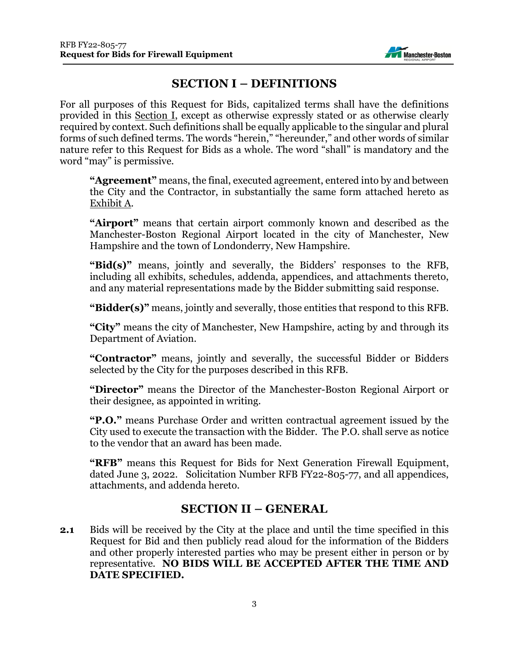

## **SECTION I – DEFINITIONS**

For all purposes of this Request for Bids, capitalized terms shall have the definitions provided in this Section I, except as otherwise expressly stated or as otherwise clearly required by context. Such definitions shall be equally applicable to the singular and plural forms of such defined terms. The words "herein," "hereunder," and other words of similar nature refer to this Request for Bids as a whole. The word "shall" is mandatory and the word "may" is permissive.

**"Agreement"** means, the final, executed agreement, entered into by and between the City and the Contractor, in substantially the same form attached hereto as Exhibit A.

**"Airport"** means that certain airport commonly known and described as the Manchester-Boston Regional Airport located in the city of Manchester, New Hampshire and the town of Londonderry, New Hampshire.

**"Bid(s)"** means, jointly and severally, the Bidders' responses to the RFB, including all exhibits, schedules, addenda, appendices, and attachments thereto, and any material representations made by the Bidder submitting said response.

**"Bidder(s)"** means, jointly and severally, those entities that respond to this RFB.

**"City"** means the city of Manchester, New Hampshire, acting by and through its Department of Aviation.

**"Contractor"** means, jointly and severally, the successful Bidder or Bidders selected by the City for the purposes described in this RFB.

**"Director"** means the Director of the Manchester-Boston Regional Airport or their designee, as appointed in writing.

**"P.O."** means Purchase Order and written contractual agreement issued by the City used to execute the transaction with the Bidder. The P.O. shall serve as notice to the vendor that an award has been made.

**"RFB"** means this Request for Bids for Next Generation Firewall Equipment, dated June 3, 2022. Solicitation Number RFB FY22-805-77, and all appendices, attachments, and addenda hereto.

### **SECTION II – GENERAL**

**2.1** Bids will be received by the City at the place and until the time specified in this Request for Bid and then publicly read aloud for the information of the Bidders and other properly interested parties who may be present either in person or by representative. **NO BIDS WILL BE ACCEPTED AFTER THE TIME AND DATE SPECIFIED.**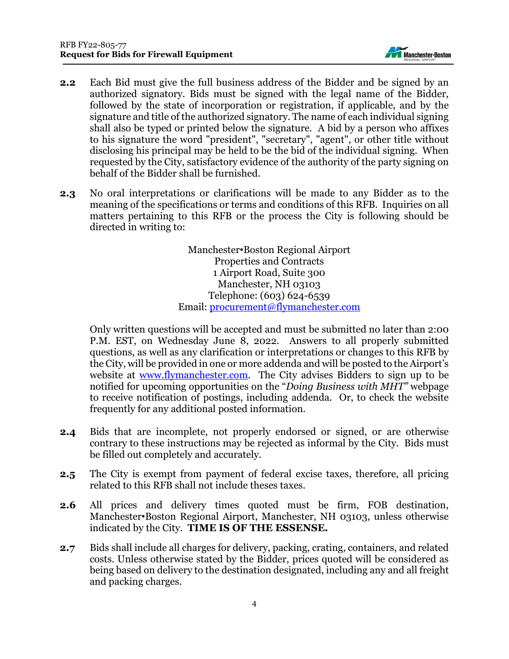

- **2.2** Each Bid must give the full business address of the Bidder and be signed by an authorized signatory. Bids must be signed with the legal name of the Bidder, followed by the state of incorporation or registration, if applicable, and by the signature and title of the authorized signatory. The name of each individual signing shall also be typed or printed below the signature. A bid by a person who affixes to his signature the word "president", "secretary", "agent", or other title without disclosing his principal may be held to be the bid of the individual signing. When requested by the City, satisfactory evidence of the authority of the party signing on behalf of the Bidder shall be furnished.
- **2.3** No oral interpretations or clarifications will be made to any Bidder as to the meaning of the specifications or terms and conditions of this RFB. Inquiries on all matters pertaining to this RFB or the process the City is following should be directed in writing to:

Manchester•Boston Regional Airport Properties and Contracts 1 Airport Road, Suite 300 Manchester, NH 03103 Telephone: (603) 624-6539 Email: [procurement@flymanchester.com](mailto:procurement@flymanchester.com)

Only written questions will be accepted and must be submitted no later than 2:00 P.M. EST, on Wednesday June 8, 2022. Answers to all properly submitted questions, as well as any clarification or interpretations or changes to this RFB by the City, will be provided in one or more addenda and will be posted to the Airport's website at [www.flymanchester.com.](http://www.flymanchester.com/) The City advises Bidders to sign up to be notified for upcoming opportunities on the "*Doing Business with MHT"* webpage to receive notification of postings, including addenda. Or, to check the website frequently for any additional posted information.

- **2.4** Bids that are incomplete, not properly endorsed or signed, or are otherwise contrary to these instructions may be rejected as informal by the City. Bids must be filled out completely and accurately.
- **2.5** The City is exempt from payment of federal excise taxes, therefore, all pricing related to this RFB shall not include theses taxes.
- **2.6** All prices and delivery times quoted must be firm, FOB destination, Manchester•Boston Regional Airport, Manchester, NH 03103, unless otherwise indicated by the City. **TIME IS OF THE ESSENSE.**
- **2.7** Bids shall include all charges for delivery, packing, crating, containers, and related costs. Unless otherwise stated by the Bidder, prices quoted will be considered as being based on delivery to the destination designated, including any and all freight and packing charges.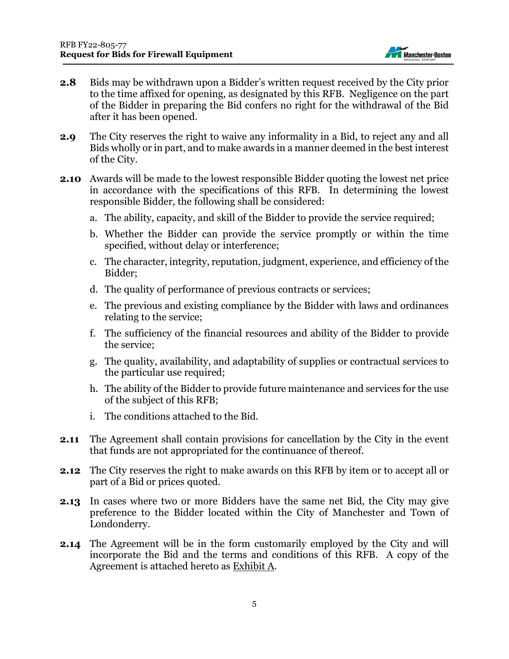

- **2.8** Bids may be withdrawn upon a Bidder's written request received by the City prior to the time affixed for opening, as designated by this RFB. Negligence on the part of the Bidder in preparing the Bid confers no right for the withdrawal of the Bid after it has been opened.
- **2.9** The City reserves the right to waive any informality in a Bid, to reject any and all Bids wholly or in part, and to make awards in a manner deemed in the best interest of the City.
- **2.10** Awards will be made to the lowest responsible Bidder quoting the lowest net price in accordance with the specifications of this RFB. In determining the lowest responsible Bidder, the following shall be considered:
	- a. The ability, capacity, and skill of the Bidder to provide the service required;
	- b. Whether the Bidder can provide the service promptly or within the time specified, without delay or interference;
	- c. The character, integrity, reputation, judgment, experience, and efficiency of the Bidder;
	- d. The quality of performance of previous contracts or services;
	- e. The previous and existing compliance by the Bidder with laws and ordinances relating to the service;
	- f. The sufficiency of the financial resources and ability of the Bidder to provide the service;
	- g. The quality, availability, and adaptability of supplies or contractual services to the particular use required;
	- h. The ability of the Bidder to provide future maintenance and services for the use of the subject of this RFB;
	- i. The conditions attached to the Bid.
- **2.11** The Agreement shall contain provisions for cancellation by the City in the event that funds are not appropriated for the continuance of thereof.
- **2.12** The City reserves the right to make awards on this RFB by item or to accept all or part of a Bid or prices quoted.
- **2.13** In cases where two or more Bidders have the same net Bid, the City may give preference to the Bidder located within the City of Manchester and Town of Londonderry.
- **2.14** The Agreement will be in the form customarily employed by the City and will incorporate the Bid and the terms and conditions of this RFB. A copy of the Agreement is attached hereto as Exhibit A.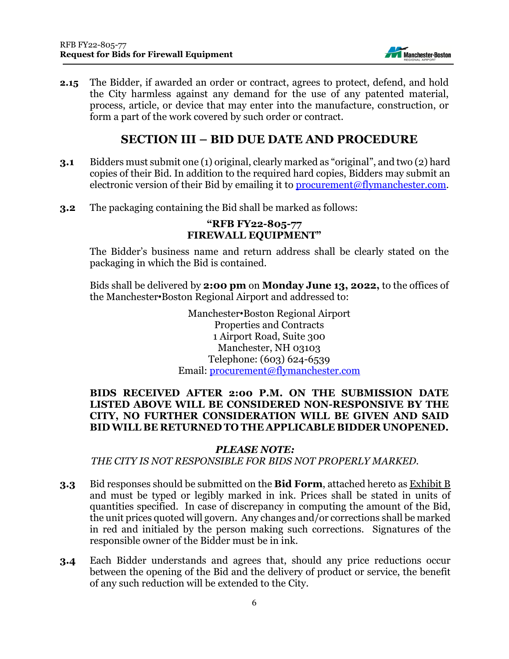

**2.15** The Bidder, if awarded an order or contract, agrees to protect, defend, and hold the City harmless against any demand for the use of any patented material, process, article, or device that may enter into the manufacture, construction, or form a part of the work covered by such order or contract.

### **SECTION III – BID DUE DATE AND PROCEDURE**

- **3.1** Bidders must submit one (1) original, clearly marked as "original", and two (2) hard copies of their Bid. In addition to the required hard copies, Bidders may submit an electronic version of their Bid by emailing it to [procurement@flymanchester.com.](mailto:procurement@flymanchester.com)
- **3.2** The packaging containing the Bid shall be marked as follows:

#### **"RFB FY22-805-77 FIREWALL EQUIPMENT"**

The Bidder's business name and return address shall be clearly stated on the packaging in which the Bid is contained.

Bids shall be delivered by **2:00 pm** on **Monday June 13, 2022,** to the offices of the Manchester•Boston Regional Airport and addressed to:

> Manchester•Boston Regional Airport Properties and Contracts 1 Airport Road, Suite 300 Manchester, NH 03103 Telephone: (603) 624-6539 Email: [procurement@flymanchester.com](mailto:procurement@flymanchester.com)

#### **BIDS RECEIVED AFTER 2:00 P.M. ON THE SUBMISSION DATE LISTED ABOVE WILL BE CONSIDERED NON-RESPONSIVE BY THE CITY, NO FURTHER CONSIDERATION WILL BE GIVEN AND SAID BID WILL BE RETURNED TO THE APPLICABLE BIDDER UNOPENED.**

#### *PLEASE NOTE:*

#### *THE CITY IS NOT RESPONSIBLE FOR BIDS NOT PROPERLY MARKED.*

- **3.3** Bid responses should be submitted on the **Bid Form**, attached hereto as Exhibit B and must be typed or legibly marked in ink. Prices shall be stated in units of quantities specified. In case of discrepancy in computing the amount of the Bid, the unit prices quoted will govern. Any changes and/or corrections shall be marked in red and initialed by the person making such corrections. Signatures of the responsible owner of the Bidder must be in ink.
- **3.4** Each Bidder understands and agrees that, should any price reductions occur between the opening of the Bid and the delivery of product or service, the benefit of any such reduction will be extended to the City.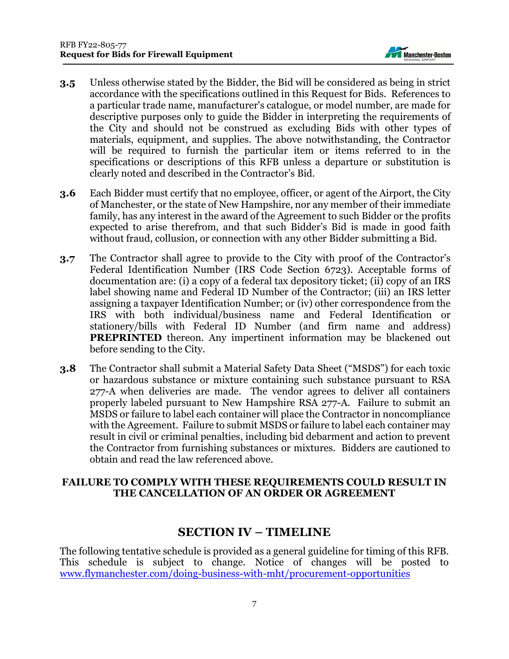

- **3.5** Unless otherwise stated by the Bidder, the Bid will be considered as being in strict accordance with the specifications outlined in this Request for Bids. References to a particular trade name, manufacturer's catalogue, or model number, are made for descriptive purposes only to guide the Bidder in interpreting the requirements of the City and should not be construed as excluding Bids with other types of materials, equipment, and supplies. The above notwithstanding, the Contractor will be required to furnish the particular item or items referred to in the specifications or descriptions of this RFB unless a departure or substitution is clearly noted and described in the Contractor's Bid.
- **3.6** Each Bidder must certify that no employee, officer, or agent of the Airport, the City of Manchester, or the state of New Hampshire, nor any member of their immediate family, has any interest in the award of the Agreement to such Bidder or the profits expected to arise therefrom, and that such Bidder's Bid is made in good faith without fraud, collusion, or connection with any other Bidder submitting a Bid.
- **3.7** The Contractor shall agree to provide to the City with proof of the Contractor's Federal Identification Number (IRS Code Section 6723). Acceptable forms of documentation are: (i) a copy of a federal tax depository ticket; (ii) copy of an IRS label showing name and Federal ID Number of the Contractor; (iii) an IRS letter assigning a taxpayer Identification Number; or (iv) other correspondence from the IRS with both individual/business name and Federal Identification or stationery/bills with Federal ID Number (and firm name and address) **PREPRINTED** thereon. Any impertinent information may be blackened out before sending to the City.
- **3.8** The Contractor shall submit a Material Safety Data Sheet ("MSDS") for each toxic or hazardous substance or mixture containing such substance pursuant to RSA 277-A when deliveries are made. The vendor agrees to deliver all containers properly labeled pursuant to New Hampshire RSA 277-A. Failure to submit an MSDS or failure to label each container will place the Contractor in noncompliance with the Agreement. Failure to submit MSDS or failure to label each container may result in civil or criminal penalties, including bid debarment and action to prevent the Contractor from furnishing substances or mixtures. Bidders are cautioned to obtain and read the law referenced above.

#### **FAILURE TO COMPLY WITH THESE REQUIREMENTS COULD RESULT IN THE CANCELLATION OF AN ORDER OR AGREEMENT**

### **SECTION IV – TIMELINE**

The following tentative schedule is provided as a general guideline for timing of this RFB. This schedule is subject to change. Notice of changes will be posted to [www.flymanchester.com/doing-business-with-mht/procurement-opportunities](http://www.flymanchester.com/doing-business-with-mht/procurement-opportunities)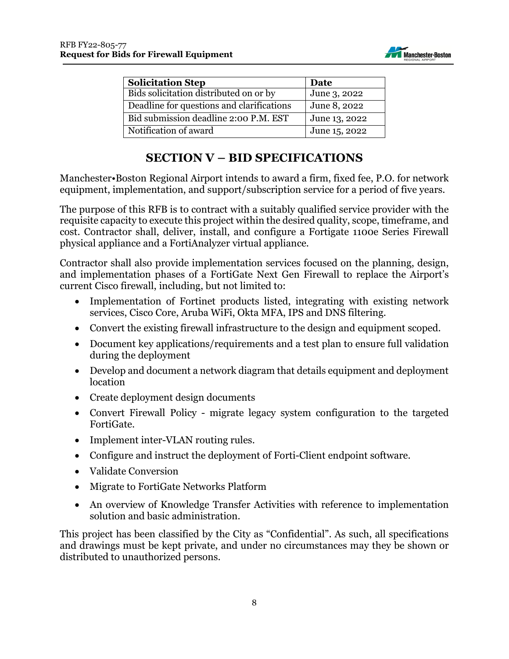

| <b>Solicitation Step</b>                  | Date          |  |
|-------------------------------------------|---------------|--|
| Bids solicitation distributed on or by    | June 3, 2022  |  |
| Deadline for questions and clarifications | June 8, 2022  |  |
| Bid submission deadline 2:00 P.M. EST     | June 13, 2022 |  |
| Notification of award                     | June 15, 2022 |  |

## **SECTION V – BID SPECIFICATIONS**

Manchester•Boston Regional Airport intends to award a firm, fixed fee, P.O. for network equipment, implementation, and support/subscription service for a period of five years.

The purpose of this RFB is to contract with a suitably qualified service provider with the requisite capacity to execute this project within the desired quality, scope, timeframe, and cost. Contractor shall, deliver, install, and configure a Fortigate 1100e Series Firewall physical appliance and a FortiAnalyzer virtual appliance.

Contractor shall also provide implementation services focused on the planning, design, and implementation phases of a FortiGate Next Gen Firewall to replace the Airport's current Cisco firewall, including, but not limited to:

- Implementation of Fortinet products listed, integrating with existing network services, Cisco Core, Aruba WiFi, Okta MFA, IPS and DNS filtering.
- Convert the existing firewall infrastructure to the design and equipment scoped.
- Document key applications/requirements and a test plan to ensure full validation during the deployment
- Develop and document a network diagram that details equipment and deployment location
- Create deployment design documents
- Convert Firewall Policy migrate legacy system configuration to the targeted FortiGate.
- Implement inter-VLAN routing rules.
- Configure and instruct the deployment of Forti-Client endpoint software.
- Validate Conversion
- Migrate to FortiGate Networks Platform
- An overview of Knowledge Transfer Activities with reference to implementation solution and basic administration.

This project has been classified by the City as "Confidential". As such, all specifications and drawings must be kept private, and under no circumstances may they be shown or distributed to unauthorized persons.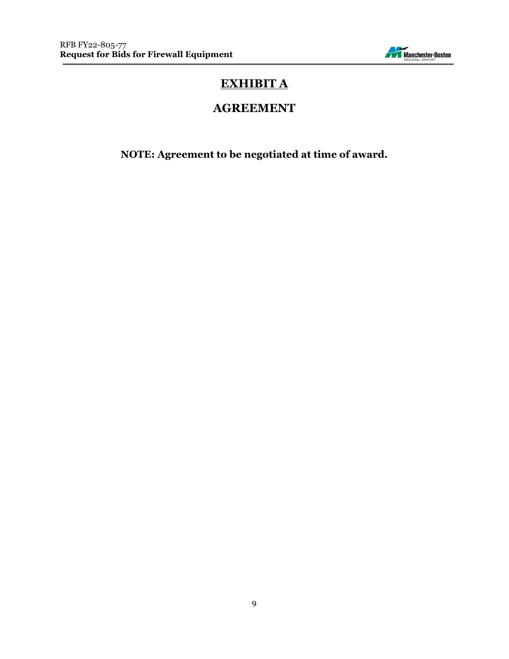

## **EXHIBIT A**

## **AGREEMENT**

**NOTE: Agreement to be negotiated at time of award.**